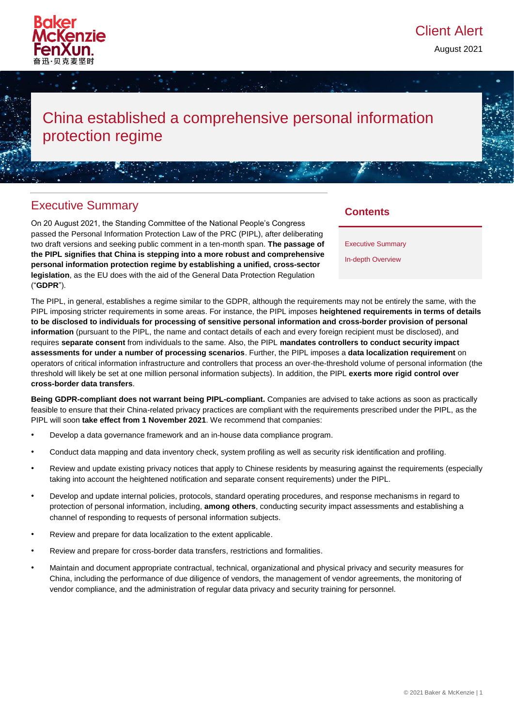

August 2021

# China established a comprehensive personal information protection regime

# Executive Summary

On 20 August 2021, the Standing Committee of the National People's Congress passed the Personal Information Protection Law of the PRC (PIPL), after deliberating two draft versions and seeking public comment in a ten-month span. **The passage of the PIPL signifies that China is stepping into a more robust and comprehensive personal information protection regime by establishing a unified, cross-sector legislation**, as the EU does with the aid of the General Data Protection Regulation ("**GDPR**").

# **Contents**

Executive Summary

In-depth Overview

The PIPL, in general, establishes a regime similar to the GDPR, although the requirements may not be entirely the same, with the PIPL imposing stricter requirements in some areas. For instance, the PIPL imposes **heightened requirements in terms of details to be disclosed to individuals for processing of sensitive personal information and cross-border provision of personal information** (pursuant to the PIPL, the name and contact details of each and every foreign recipient must be disclosed), and requires **separate consent** from individuals to the same. Also, the PIPL **mandates controllers to conduct security impact assessments for under a number of processing scenarios**. Further, the PIPL imposes a **data localization requirement** on operators of critical information infrastructure and controllers that process an over-the-threshold volume of personal information (the threshold will likely be set at one million personal information subjects). In addition, the PIPL **exerts more rigid control over cross-border data transfers**.

**Being GDPR-compliant does not warrant being PIPL-compliant.** Companies are advised to take actions as soon as practically feasible to ensure that their China-related privacy practices are compliant with the requirements prescribed under the PIPL, as the PIPL will soon **take effect from 1 November 2021**. We recommend that companies:

- Develop a data governance framework and an in-house data compliance program.
- Conduct data mapping and data inventory check, system profiling as well as security risk identification and profiling.
- Review and update existing privacy notices that apply to Chinese residents by measuring against the requirements (especially taking into account the heightened notification and separate consent requirements) under the PIPL.
- Develop and update internal policies, protocols, standard operating procedures, and response mechanisms in regard to protection of personal information, including, **among others**, conducting security impact assessments and establishing a channel of responding to requests of personal information subjects.
- Review and prepare for data localization to the extent applicable.
- Review and prepare for cross-border data transfers, restrictions and formalities.
- Maintain and document appropriate contractual, technical, organizational and physical privacy and security measures for China, including the performance of due diligence of vendors, the management of vendor agreements, the monitoring of vendor compliance, and the administration of regular data privacy and security training for personnel.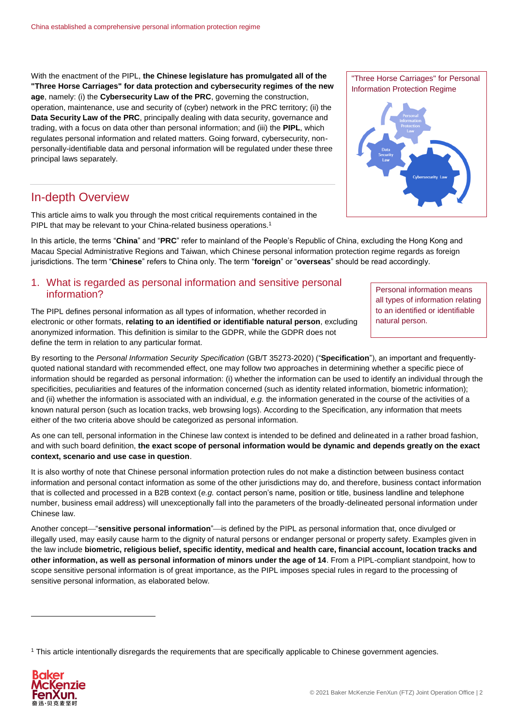With the enactment of the PIPL, **the Chinese legislature has promulgated all of the "Three Horse Carriages" for data protection and cybersecurity regimes of the new age**, namely: (i) the **Cybersecurity Law of the PRC**, governing the construction, operation, maintenance, use and security of (cyber) network in the PRC territory; (ii) the **Data Security Law of the PRC**, principally dealing with data security, governance and trading, with a focus on data other than personal information; and (iii) the **PIPL**, which regulates personal information and related matters. Going forward, cybersecurity, nonpersonally-identifiable data and personal information will be regulated under these three principal laws separately.

# In-depth Overview

This article aims to walk you through the most critical requirements contained in the PIPL that may be relevant to your China-related business operations.<sup>1</sup>

In this article, the terms "**China**" and "**PRC**" refer to mainland of the People's Republic of China, excluding the Hong Kong and Macau Special Administrative Regions and Taiwan, which Chinese personal information protection regime regards as foreign jurisdictions. The term "**Chinese**" refers to China only. The term "**foreign**" or "**overseas**" should be read accordingly.

### 1. What is regarded as personal information and sensitive personal information?

The PIPL defines personal information as all types of information, whether recorded in electronic or other formats, **relating to an identified or identifiable natural person**, excluding anonymized information. This definition is similar to the GDPR, while the GDPR does not define the term in relation to any particular format.

By resorting to the *Personal Information Security Specification* (GB/T 35273-2020) ("**Specification**"), an important and frequentlyquoted national standard with recommended effect, one may follow two approaches in determining whether a specific piece of information should be regarded as personal information: (i) whether the information can be used to identify an individual through the specificities, peculiarities and features of the information concerned (such as identity related information, biometric information); and (ii) whether the information is associated with an individual, *e.g.* the information generated in the course of the activities of a known natural person (such as location tracks, web browsing logs). According to the Specification, any information that meets either of the two criteria above should be categorized as personal information.

As one can tell, personal information in the Chinese law context is intended to be defined and delineated in a rather broad fashion, and with such board definition, **the exact scope of personal information would be dynamic and depends greatly on the exact context, scenario and use case in question**.

It is also worthy of note that Chinese personal information protection rules do not make a distinction between business contact information and personal contact information as some of the other jurisdictions may do, and therefore, business contact information that is collected and processed in a B2B context (*e.g.* contact person's name, position or title, business landline and telephone number, business email address) will unexceptionally fall into the parameters of the broadly-delineated personal information under Chinese law.

Another concept—"sensitive personal information"—is defined by the PIPL as personal information that, once divulged or illegally used, may easily cause harm to the dignity of natural persons or endanger personal or property safety. Examples given in the law include **biometric, religious belief, specific identity, medical and health care, financial account, location tracks and other information, as well as personal information of minors under the age of 14**. From a PIPL-compliant standpoint, how to scope sensitive personal information is of great importance, as the PIPL imposes special rules in regard to the processing of sensitive personal information, as elaborated below.

<sup>1</sup> This article intentionally disregards the requirements that are specifically applicable to Chinese government agencies.



1



Personal information means all types of information relating to an identified or identifiable natural person.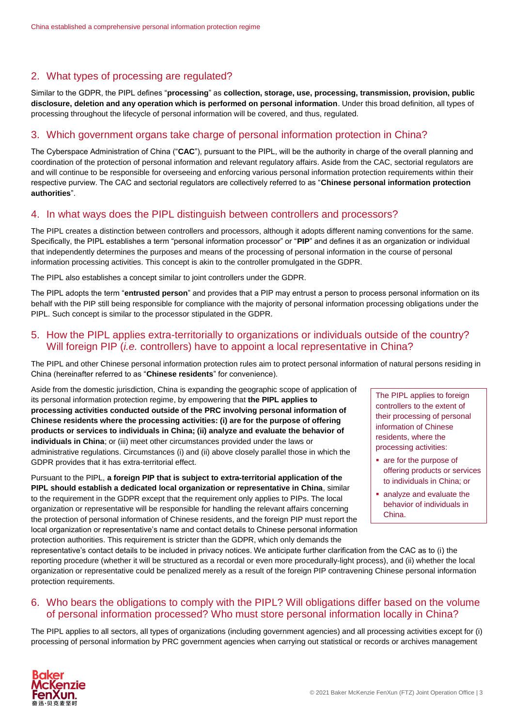# 2. What types of processing are regulated?

Similar to the GDPR, the PIPL defines "**processing**" as **collection, storage, use, processing, transmission, provision, public disclosure, deletion and any operation which is performed on personal information**. Under this broad definition, all types of processing throughout the lifecycle of personal information will be covered, and thus, regulated.

#### 3. Which government organs take charge of personal information protection in China?

The Cyberspace Administration of China ("**CAC**"), pursuant to the PIPL, will be the authority in charge of the overall planning and coordination of the protection of personal information and relevant regulatory affairs. Aside from the CAC, sectorial regulators are and will continue to be responsible for overseeing and enforcing various personal information protection requirements within their respective purview. The CAC and sectorial regulators are collectively referred to as "**Chinese personal information protection authorities**".

#### 4. In what ways does the PIPL distinguish between controllers and processors?

The PIPL creates a distinction between controllers and processors, although it adopts different naming conventions for the same. Specifically, the PIPL establishes a term "personal information processor" or "**PIP**" and defines it as an organization or individual that independently determines the purposes and means of the processing of personal information in the course of personal information processing activities. This concept is akin to the controller promulgated in the GDPR.

The PIPL also establishes a concept similar to joint controllers under the GDPR.

The PIPL adopts the term "**entrusted person**" and provides that a PIP may entrust a person to process personal information on its behalf with the PIP still being responsible for compliance with the majority of personal information processing obligations under the PIPL. Such concept is similar to the processor stipulated in the GDPR.

#### 5. How the PIPL applies extra-territorially to organizations or individuals outside of the country? Will foreign PIP (*i.e.* controllers) have to appoint a local representative in China?

The PIPL and other Chinese personal information protection rules aim to protect personal information of natural persons residing in China (hereinafter referred to as "**Chinese residents**" for convenience).

Aside from the domestic jurisdiction, China is expanding the geographic scope of application of its personal information protection regime, by empowering that **the PIPL applies to processing activities conducted outside of the PRC involving personal information of Chinese residents where the processing activities: (i) are for the purpose of offering products or services to individuals in China; (ii) analyze and evaluate the behavior of individuals in China**; or (iii) meet other circumstances provided under the laws or administrative regulations. Circumstances (i) and (ii) above closely parallel those in which the GDPR provides that it has extra-territorial effect.

Pursuant to the PIPL, **a foreign PIP that is subject to extra-territorial application of the PIPL should establish a dedicated local organization or representative in China**, similar to the requirement in the GDPR except that the requirement only applies to PIPs. The local organization or representative will be responsible for handling the relevant affairs concerning the protection of personal information of Chinese residents, and the foreign PIP must report the local organization or representative's name and contact details to Chinese personal information protection authorities. This requirement is stricter than the GDPR, which only demands the

The PIPL applies to foreign controllers to the extent of their processing of personal information of Chinese residents, where the processing activities:

- are for the purpose of offering products or services to individuals in China; or
- analyze and evaluate the behavior of individuals in China.

representative's contact details to be included in privacy notices. We anticipate further clarification from the CAC as to (i) the reporting procedure (whether it will be structured as a recordal or even more procedurally-light process), and (ii) whether the local organization or representative could be penalized merely as a result of the foreign PIP contravening Chinese personal information protection requirements.

#### 6. Who bears the obligations to comply with the PIPL? Will obligations differ based on the volume of personal information processed? Who must store personal information locally in China?

The PIPL applies to all sectors, all types of organizations (including government agencies) and all processing activities except for (i) processing of personal information by PRC government agencies when carrying out statistical or records or archives management

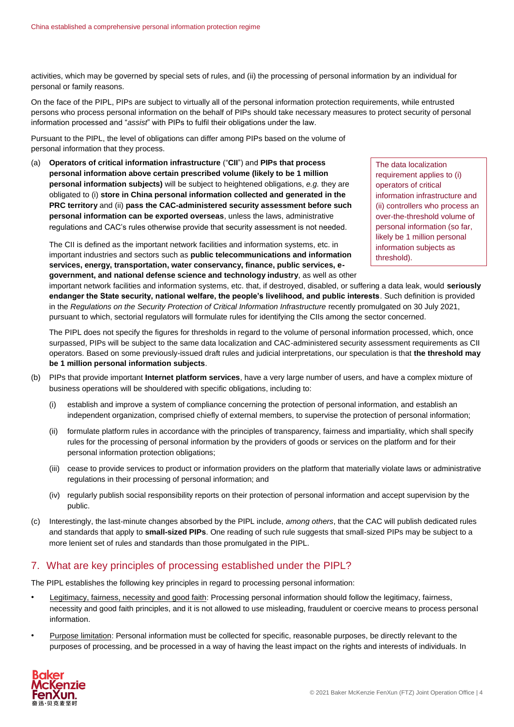activities, which may be governed by special sets of rules, and (ii) the processing of personal information by an individual for personal or family reasons.

On the face of the PIPL, PIPs are subject to virtually all of the personal information protection requirements, while entrusted persons who process personal information on the behalf of PIPs should take necessary measures to protect security of personal information processed and "*assist*" with PIPs to fulfil their obligations under the law.

Pursuant to the PIPL, the level of obligations can differ among PIPs based on the volume of personal information that they process.

(a) **Operators of critical information infrastructure** ("**CII**") and **PIPs that process personal information above certain prescribed volume (likely to be 1 million personal information subjects)** will be subject to heightened obligations, *e.g.* they are obligated to (i) **store in China personal information collected and generated in the PRC territory** and (ii) **pass the CAC-administered security assessment before such personal information can be exported overseas**, unless the laws, administrative regulations and CAC's rules otherwise provide that security assessment is not needed.

The CII is defined as the important network facilities and information systems, etc. in important industries and sectors such as **public telecommunications and information services, energy, transportation, water conservancy, finance, public services, egovernment, and national defense science and technology industry**, as well as other

The data localization requirement applies to (i) operators of critical information infrastructure and (ii) controllers who process an over-the-threshold volume of personal information (so far, likely be 1 million personal information subjects as threshold).

important network facilities and information systems, etc. that, if destroyed, disabled, or suffering a data leak, would **seriously endanger the State security, national welfare, the people's livelihood, and public interests**. Such definition is provided in the *Regulations on the Security Protection of Critical Information Infrastructure* recently promulgated on 30 July 2021, pursuant to which, sectorial regulators will formulate rules for identifying the CIIs among the sector concerned.

The PIPL does not specify the figures for thresholds in regard to the volume of personal information processed, which, once surpassed, PIPs will be subject to the same data localization and CAC-administered security assessment requirements as CII operators. Based on some previously-issued draft rules and judicial interpretations, our speculation is that **the threshold may be 1 million personal information subjects**.

- (b) PIPs that provide important **Internet platform services**, have a very large number of users, and have a complex mixture of business operations will be shouldered with specific obligations, including to:
	- (i) establish and improve a system of compliance concerning the protection of personal information, and establish an independent organization, comprised chiefly of external members, to supervise the protection of personal information;
	- (ii) formulate platform rules in accordance with the principles of transparency, fairness and impartiality, which shall specify rules for the processing of personal information by the providers of goods or services on the platform and for their personal information protection obligations;
	- (iii) cease to provide services to product or information providers on the platform that materially violate laws or administrative regulations in their processing of personal information; and
	- (iv) regularly publish social responsibility reports on their protection of personal information and accept supervision by the public.
- (c) Interestingly, the last-minute changes absorbed by the PIPL include, *among others*, that the CAC will publish dedicated rules and standards that apply to **small-sized PIPs**. One reading of such rule suggests that small-sized PIPs may be subject to a more lenient set of rules and standards than those promulgated in the PIPL.

# 7. What are key principles of processing established under the PIPL?

The PIPL establishes the following key principles in regard to processing personal information:

- Legitimacy, fairness, necessity and good faith: Processing personal information should follow the legitimacy, fairness, necessity and good faith principles, and it is not allowed to use misleading, fraudulent or coercive means to process personal information.
- Purpose limitation: Personal information must be collected for specific, reasonable purposes, be directly relevant to the purposes of processing, and be processed in a way of having the least impact on the rights and interests of individuals. In

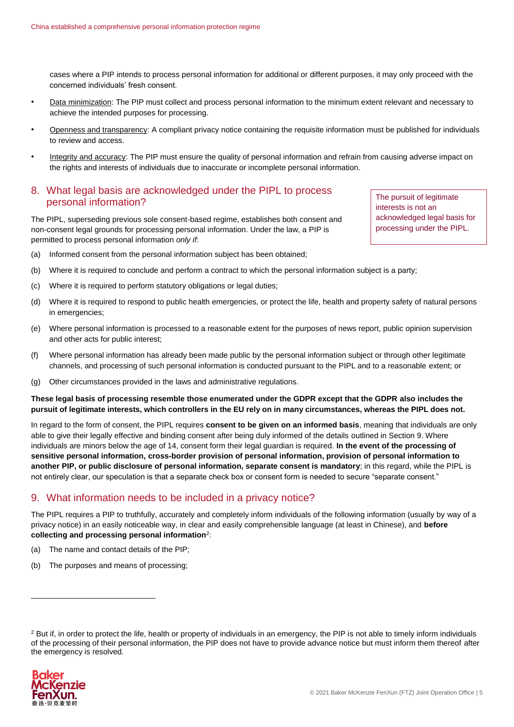cases where a PIP intends to process personal information for additional or different purposes, it may only proceed with the concerned individuals' fresh consent.

- Data minimization: The PIP must collect and process personal information to the minimum extent relevant and necessary to achieve the intended purposes for processing.
- Openness and transparency: A compliant privacy notice containing the requisite information must be published for individuals to review and access.
- Integrity and accuracy: The PIP must ensure the quality of personal information and refrain from causing adverse impact on the rights and interests of individuals due to inaccurate or incomplete personal information.

#### 8. What legal basis are acknowledged under the PIPL to process personal information?

The PIPL, superseding previous sole consent-based regime, establishes both consent and non-consent legal grounds for processing personal information. Under the law, a PIP is permitted to process personal information *only if*:

The pursuit of legitimate interests is not an acknowledged legal basis for processing under the PIPL.

- (a) Informed consent from the personal information subject has been obtained;
- (b) Where it is required to conclude and perform a contract to which the personal information subject is a party;
- (c) Where it is required to perform statutory obligations or legal duties;
- (d) Where it is required to respond to public health emergencies, or protect the life, health and property safety of natural persons in emergencies;
- (e) Where personal information is processed to a reasonable extent for the purposes of news report, public opinion supervision and other acts for public interest;
- (f) Where personal information has already been made public by the personal information subject or through other legitimate channels, and processing of such personal information is conducted pursuant to the PIPL and to a reasonable extent; or
- (g) Other circumstances provided in the laws and administrative regulations.

**These legal basis of processing resemble those enumerated under the GDPR except that the GDPR also includes the pursuit of legitimate interests, which controllers in the EU rely on in many circumstances, whereas the PIPL does not.**

In regard to the form of consent, the PIPL requires **consent to be given on an informed basis**, meaning that individuals are only able to give their legally effective and binding consent after being duly informed of the details outlined in Section [9.](#page-4-0) Where individuals are minors below the age of 14, consent form their legal guardian is required. **In the event of the processing of sensitive personal information, cross-border provision of personal information, provision of personal information to another PIP, or public disclosure of personal information, separate consent is mandatory**; in this regard, while the PIPL is not entirely clear, our speculation is that a separate check box or consent form is needed to secure "separate consent."

#### <span id="page-4-0"></span>9. What information needs to be included in a privacy notice?

The PIPL requires a PIP to truthfully, accurately and completely inform individuals of the following information (usually by way of a privacy notice) in an easily noticeable way, in clear and easily comprehensible language (at least in Chinese), and **before collecting and processing personal information**<sup>2</sup> :

- (a) The name and contact details of the PIP;
- (b) The purposes and means of processing;

<sup>&</sup>lt;sup>2</sup> But if, in order to protect the life, health or property of individuals in an emergency, the PIP is not able to timely inform individuals of the processing of their personal information, the PIP does not have to provide advance notice but must inform them thereof after the emergency is resolved.



1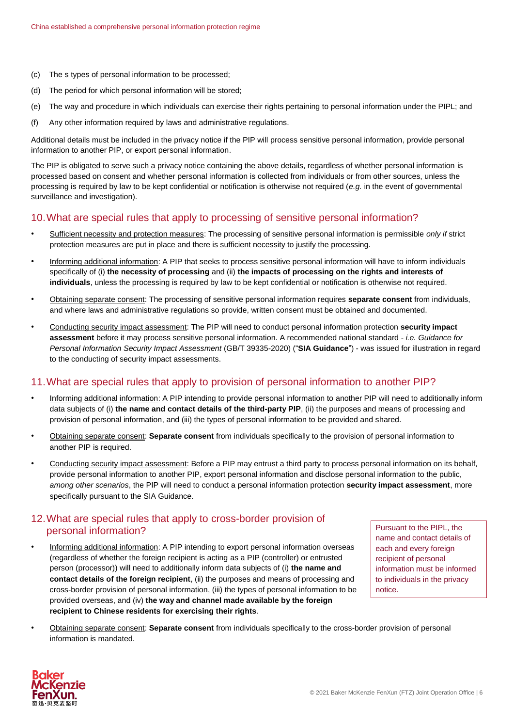- (c) The s types of personal information to be processed;
- (d) The period for which personal information will be stored;
- (e) The way and procedure in which individuals can exercise their rights pertaining to personal information under the PIPL; and
- (f) Any other information required by laws and administrative regulations.

Additional details must be included in the privacy notice if the PIP will process sensitive personal information, provide personal information to another PIP, or export personal information.

The PIP is obligated to serve such a privacy notice containing the above details, regardless of whether personal information is processed based on consent and whether personal information is collected from individuals or from other sources, unless the processing is required by law to be kept confidential or notification is otherwise not required (*e.g.* in the event of governmental surveillance and investigation).

#### 10.What are special rules that apply to processing of sensitive personal information?

- Sufficient necessity and protection measures: The processing of sensitive personal information is permissible *only if* strict protection measures are put in place and there is sufficient necessity to justify the processing.
- Informing additional information: A PIP that seeks to process sensitive personal information will have to inform individuals specifically of (i) **the necessity of processing** and (ii) **the impacts of processing on the rights and interests of individuals**, unless the processing is required by law to be kept confidential or notification is otherwise not required.
- Obtaining separate consent: The processing of sensitive personal information requires **separate consent** from individuals, and where laws and administrative regulations so provide, written consent must be obtained and documented.
- Conducting security impact assessment: The PIP will need to conduct personal information protection **security impact assessment** before it may process sensitive personal information. A recommended national standard - *i.e. Guidance for Personal Information Security Impact Assessment* (GB/T 39335-2020) ("**SIA Guidance**") - was issued for illustration in regard to the conducting of security impact assessments.

#### 11.What are special rules that apply to provision of personal information to another PIP?

- Informing additional information: A PIP intending to provide personal information to another PIP will need to additionally inform data subjects of (i) **the name and contact details of the third-party PIP**, (ii) the purposes and means of processing and provision of personal information, and (iii) the types of personal information to be provided and shared.
- Obtaining separate consent: **Separate consent** from individuals specifically to the provision of personal information to another PIP is required.
- Conducting security impact assessment: Before a PIP may entrust a third party to process personal information on its behalf, provide personal information to another PIP, export personal information and disclose personal information to the public, *among other scenarios*, the PIP will need to conduct a personal information protection **security impact assessment**, more specifically pursuant to the SIA Guidance.

#### 12.What are special rules that apply to cross-border provision of personal information?

Informing additional information: A PIP intending to export personal information overseas (regardless of whether the foreign recipient is acting as a PIP (controller) or entrusted person (processor)) will need to additionally inform data subjects of (i) **the name and contact details of the foreign recipient**, (ii) the purposes and means of processing and cross-border provision of personal information, (iii) the types of personal information to be provided overseas, and (iv) **the way and channel made available by the foreign recipient to Chinese residents for exercising their rights**.

Pursuant to the PIPL, the name and contact details of each and every foreign recipient of personal information must be informed to individuals in the privacy notice.

• Obtaining separate consent: **Separate consent** from individuals specifically to the cross-border provision of personal information is mandated.

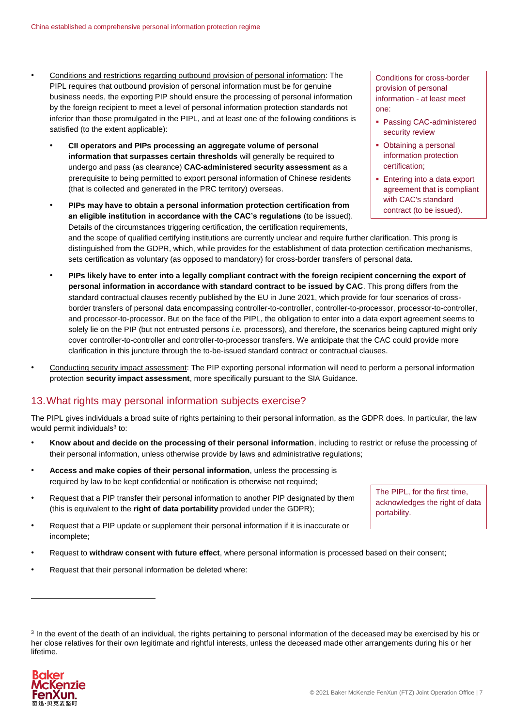- Conditions and restrictions regarding outbound provision of personal information: The PIPL requires that outbound provision of personal information must be for genuine business needs, the exporting PIP should ensure the processing of personal information by the foreign recipient to meet a level of personal information protection standards not inferior than those promulgated in the PIPL, and at least one of the following conditions is satisfied (to the extent applicable):
	- **CII operators and PIPs processing an aggregate volume of personal information that surpasses certain thresholds** will generally be required to undergo and pass (as clearance) **CAC-administered security assessment** as a prerequisite to being permitted to export personal information of Chinese residents (that is collected and generated in the PRC territory) overseas.
	- **PIPs may have to obtain a personal information protection certification from an eligible institution in accordance with the CAC's regulations** (to be issued). Details of the circumstances triggering certification, the certification requirements,

Conditions for cross-border provision of personal information - at least meet one:

- Passing CAC-administered security review
- Obtaining a personal information protection certification;
- **Entering into a data export** agreement that is compliant with CAC's standard contract (to be issued).

and the scope of qualified certifying institutions are currently unclear and require further clarification. This prong is distinguished from the GDPR, which, while provides for the establishment of data protection certification mechanisms, sets certification as voluntary (as opposed to mandatory) for cross-border transfers of personal data.

- **PIPs likely have to enter into a legally compliant contract with the foreign recipient concerning the export of personal information in accordance with standard contract to be issued by CAC**. This prong differs from the standard contractual clauses recently published by the EU in June 2021, which provide for four scenarios of crossborder transfers of personal data encompassing controller-to-controller, controller-to-processor, processor-to-controller, and processor-to-processor. But on the face of the PIPL, the obligation to enter into a data export agreement seems to solely lie on the PIP (but not entrusted persons *i.e.* processors), and therefore, the scenarios being captured might only cover controller-to-controller and controller-to-processor transfers. We anticipate that the CAC could provide more clarification in this juncture through the to-be-issued standard contract or contractual clauses.
- Conducting security impact assessment: The PIP exporting personal information will need to perform a personal information protection **security impact assessment**, more specifically pursuant to the SIA Guidance.

# 13.What rights may personal information subjects exercise?

The PIPL gives individuals a broad suite of rights pertaining to their personal information, as the GDPR does. In particular, the law would permit individuals<sup>3</sup> to:

- **Know about and decide on the processing of their personal information**, including to restrict or refuse the processing of their personal information, unless otherwise provide by laws and administrative regulations;
- **Access and make copies of their personal information**, unless the processing is required by law to be kept confidential or notification is otherwise not required;
- Request that a PIP transfer their personal information to another PIP designated by them (this is equivalent to the **right of data portability** provided under the GDPR);
- Request that a PIP update or supplement their personal information if it is inaccurate or incomplete;
- Request to **withdraw consent with future effect**, where personal information is processed based on their consent;
- Request that their personal information be deleted where:

<sup>&</sup>lt;sup>3</sup> In the event of the death of an individual, the rights pertaining to personal information of the deceased may be exercised by his or her close relatives for their own legitimate and rightful interests, unless the deceased made other arrangements during his or her lifetime.



1

The PIPL, for the first time, acknowledges the right of data portability.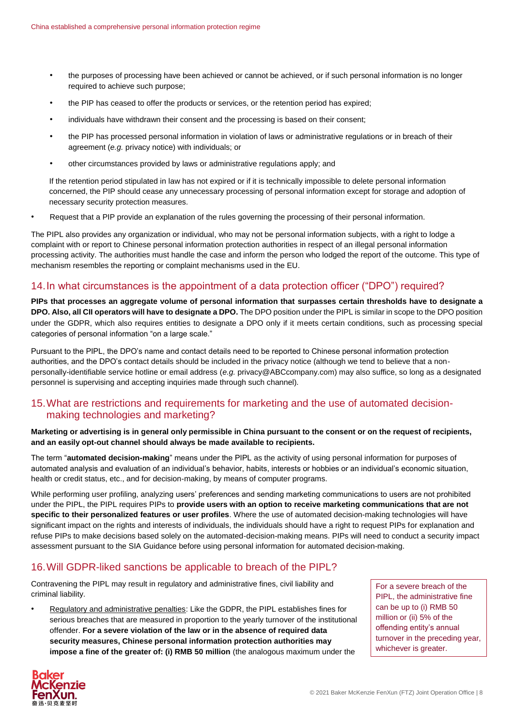- the purposes of processing have been achieved or cannot be achieved, or if such personal information is no longer required to achieve such purpose;
- the PIP has ceased to offer the products or services, or the retention period has expired;
- individuals have withdrawn their consent and the processing is based on their consent;
- the PIP has processed personal information in violation of laws or administrative regulations or in breach of their agreement (*e.g.* privacy notice) with individuals; or
- other circumstances provided by laws or administrative regulations apply; and

If the retention period stipulated in law has not expired or if it is technically impossible to delete personal information concerned, the PIP should cease any unnecessary processing of personal information except for storage and adoption of necessary security protection measures.

• Request that a PIP provide an explanation of the rules governing the processing of their personal information.

The PIPL also provides any organization or individual, who may not be personal information subjects, with a right to lodge a complaint with or report to Chinese personal information protection authorities in respect of an illegal personal information processing activity. The authorities must handle the case and inform the person who lodged the report of the outcome. This type of mechanism resembles the reporting or complaint mechanisms used in the EU.

#### 14.In what circumstances is the appointment of a data protection officer ("DPO") required?

**PIPs that processes an aggregate volume of personal information that surpasses certain thresholds have to designate a DPO. Also, all CII operators will have to designate a DPO.** The DPO position under the PIPL is similar in scope to the DPO position under the GDPR, which also requires entities to designate a DPO only if it meets certain conditions, such as processing special categories of personal information "on a large scale."

Pursuant to the PIPL, the DPO's name and contact details need to be reported to Chinese personal information protection authorities, and the DPO's contact details should be included in the privacy notice (although we tend to believe that a nonpersonally-identifiable service hotline or email address (*e.g.* privacy@ABCcompany.com) may also suffice, so long as a designated personnel is supervising and accepting inquiries made through such channel).

#### 15.What are restrictions and requirements for marketing and the use of automated decisionmaking technologies and marketing?

#### **Marketing or advertising is in general only permissible in China pursuant to the consent or on the request of recipients, and an easily opt-out channel should always be made available to recipients.**

The term "**automated decision-making**" means under the PIPL as the activity of using personal information for purposes of automated analysis and evaluation of an individual's behavior, habits, interests or hobbies or an individual's economic situation, health or credit status, etc., and for decision-making, by means of computer programs.

While performing user profiling, analyzing users' preferences and sending marketing communications to users are not prohibited under the PIPL, the PIPL requires PIPs to **provide users with an option to receive marketing communications that are not specific to their personalized features or user profiles**. Where the use of automated decision-making technologies will have significant impact on the rights and interests of individuals, the individuals should have a right to request PIPs for explanation and refuse PIPs to make decisions based solely on the automated-decision-making means. PIPs will need to conduct a security impact assessment pursuant to the SIA Guidance before using personal information for automated decision-making.

#### 16.Will GDPR-liked sanctions be applicable to breach of the PIPL?

Contravening the PIPL may result in regulatory and administrative fines, civil liability and criminal liability.

Regulatory and administrative penalties: Like the GDPR, the PIPL establishes fines for serious breaches that are measured in proportion to the yearly turnover of the institutional offender. **For a severe violation of the law or in the absence of required data security measures, Chinese personal information protection authorities may impose a fine of the greater of: (i) RMB 50 million** (the analogous maximum under the

For a severe breach of the PIPL, the administrative fine can be up to (i) RMB 50 million or (ii) 5% of the offending entity's annual turnover in the preceding year, whichever is greater.